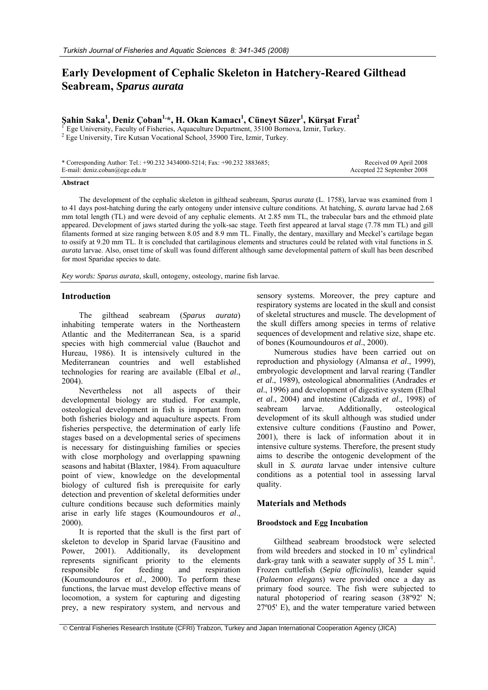# **Early Development of Cephalic Skeleton in Hatchery-Reared Gilthead Seabream,** *Sparus aurata*

# **Şahin Saka1 , Deniz Çoban1,\*, H. Okan Kamacı 1 , Cüneyt Süzer1 , Kürşat Fırat2**

Ege University, Faculty of Fisheries, Aquaculture Department, 35100 Bornova, Izmir, Turkey. Ege University, Tire Kutsan Vocational School, 35900 Tire, Izmir, Turkey.

| * Corresponding Author: Tel.: $+90.232$ 3434000-5214; Fax: $+90.232$ 3883685; | Received 09 April 2008     |
|-------------------------------------------------------------------------------|----------------------------|
| E-mail: $deniz.coban(\omega)$ ege.edu.tr                                      | Accepted 22 September 2008 |

#### **Abstract**

The development of the cephalic skeleton in gilthead seabream, *Sparus aurata* (L. 1758), larvae was examined from 1 to 41 days post-hatching during the early ontogeny under intensive culture conditions. At hatching, *S. aurata* larvae had 2.68 mm total length (TL) and were devoid of any cephalic elements. At 2.85 mm TL, the trabecular bars and the ethmoid plate appeared. Development of jaws started during the yolk-sac stage. Teeth first appeared at larval stage (7.78 mm TL) and gill filaments formed at size ranging between 8.05 and 8.9 mm TL. Finally, the dentary, maxillary and Meckel's cartilage began to ossify at 9.20 mm TL. It is concluded that cartilaginous elements and structures could be related with vital functions in *S. aurata* larvae. Also, onset time of skull was found different although same developmental pattern of skull has been described for most Sparidae species to date.

*Key words: Sparus aurata*, skull, ontogeny, osteology, marine fish larvae.

# **Introduction**

The gilthead seabream (*Sparus aurata*) inhabiting temperate waters in the Northeastern Atlantic and the Mediterranean Sea, is a sparid species with high commercial value (Bauchot and Hureau, 1986). It is intensively cultured in the Mediterranean countries and well established technologies for rearing are available (Elbal *et al*., 2004).

Nevertheless not all aspects of their developmental biology are studied. For example, osteological development in fish is important from both fisheries biology and aquaculture aspects. From fisheries perspective, the determination of early life stages based on a developmental series of specimens is necessary for distinguishing families or species with close morphology and overlapping spawning seasons and habitat (Blaxter, 1984). From aquaculture point of view, knowledge on the developmental biology of cultured fish is prerequisite for early detection and prevention of skeletal deformities under culture conditions because such deformities mainly arise in early life stages (Koumoundouros *et al*., 2000).

It is reported that the skull is the first part of skeleton to develop in Sparid larvae (Fausitino and Power, 2001). Additionally, its development represents significant priority to the elements responsible for feeding and respiration (Koumoundouros *et al*., 2000). To perform these functions, the larvae must develop effective means of locomotion, a system for capturing and digesting prey, a new respiratory system, and nervous and

sensory systems. Moreover, the prey capture and respiratory systems are located in the skull and consist of skeletal structures and muscle. The development of the skull differs among species in terms of relative sequences of development and relative size, shape etc. of bones (Koumoundouros *et al*., 2000).

Numerous studies have been carried out on reproduction and physiology (Almansa *et al*., 1999), embryologic development and larval rearing (Tandler *et al*., 1989), osteological abnormalities (Andrades *et al*., 1996) and development of digestive system (Elbal *et al*., 2004) and intestine (Calzada *et al*., 1998) of seabream larvae. Additionally, osteological development of its skull although was studied under extensive culture conditions (Faustino and Power, 2001), there is lack of information about it in intensive culture systems. Therefore, the present study aims to describe the ontogenic development of the skull in *S. aurata* larvae under intensive culture conditions as a potential tool in assessing larval quality.

# **Materials and Methods**

# **Broodstock and Egg Incubation**

Gilthead seabream broodstock were selected from wild breeders and stocked in  $10 \text{ m}^3$  cylindrical dark-gray tank with a seawater supply of  $35 \,$  L min<sup>-1</sup>. Frozen cuttlefish (*Sepia officinalis*), leander squid (*Palaemon elegans*) were provided once a day as primary food source. The fish were subjected to natural photoperiod of rearing season (38º92' N; 27º05' E), and the water temperature varied between

 <sup>©</sup> Central Fisheries Research Institute (CFRI) Trabzon, Turkey and Japan International Cooperation Agency (JICA)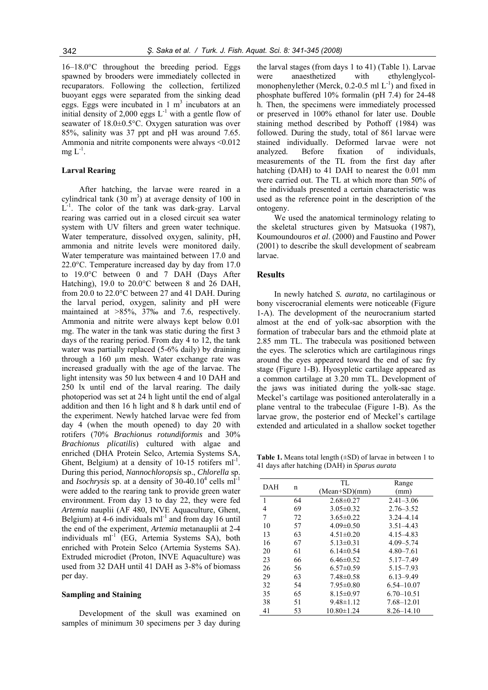16–18.0°C throughout the breeding period. Eggs spawned by brooders were immediately collected in recuparators. Following the collection, fertilized buoyant eggs were separated from the sinking dead eggs. Eggs were incubated in  $1 \text{ m}^3$  incubators at an initial density of 2,000 eggs  $L^{-1}$  with a gentle flow of seawater of 18.0±0.5°C. Oxygen saturation was over 85%, salinity was 37 ppt and pH was around 7.65. Ammonia and nitrite components were always <0.012  $me L<sup>-1</sup>$ .

### **Larval Rearing**

After hatching, the larvae were reared in a cylindrical tank  $(30 \text{ m}^3)$  at average density of 100 in L<sup>-1</sup>. The color of the tank was dark-gray. Larval rearing was carried out in a closed circuit sea water system with UV filters and green water technique. Water temperature, dissolved oxygen, salinity, pH, ammonia and nitrite levels were monitored daily. Water temperature was maintained between 17.0 and 22.0°C. Temperature increased day by day from 17.0 to 19.0°C between 0 and 7 DAH (Days After Hatching), 19.0 to 20.0°C between 8 and 26 DAH, from 20.0 to 22.0°C between 27 and 41 DAH. During the larval period, oxygen, salinity and pH were maintained at >85%, 37‰ and 7.6, respectively. Ammonia and nitrite were always kept below 0.01 mg. The water in the tank was static during the first 3 days of the rearing period. From day 4 to 12, the tank water was partially replaced (5-6% daily) by draining through a 160 µm mesh. Water exchange rate was increased gradually with the age of the larvae. The light intensity was 50 lux between 4 and 10 DAH and 250 lx until end of the larval rearing. The daily photoperiod was set at 24 h light until the end of algal addition and then 16 h light and 8 h dark until end of the experiment. Newly hatched larvae were fed from day 4 (when the mouth opened) to day 20 with rotifers (70% *Brachionus rotundiformis* and 30% *Brachionus plicatilis*) cultured with algae and enriched (DHA Protein Selco, Artemia Systems SA, Ghent, Belgium) at a density of  $10-15$  rotifers ml<sup>-1</sup>. During this period, *Nannochloropsis* sp., *Chlorella* sp. and *Isochrysis* sp. at a density of  $30-40.10^4$  cells ml<sup>-1</sup> were added to the rearing tank to provide green water environment. From day 13 to day 22, they were fed *Artemia* nauplii (AF 480, INVE Aquaculture, Ghent, Belgium) at  $4-6$  individuals ml<sup>-1</sup> and from day 16 until the end of the experiment, *Artemia* metanauplii at 2-4 individuals  $ml^{-1}$  (EG, Artemia Systems SA), both enriched with Protein Selco (Artemia Systems SA). Extruded microdiet (Proton, INVE Aquaculture) was used from 32 DAH until 41 DAH as 3-8% of biomass per day.

#### **Sampling and Staining**

Development of the skull was examined on samples of minimum 30 specimens per 3 day during

the larval stages (from days 1 to 41) (Table 1). Larvae were anaesthetized with ethylenglycolmonophenylether (Merck,  $0.2$ -0.5 ml  $L^{-1}$ ) and fixed in phosphate buffered 10% formalin (pH 7.4) for 24-48 h. Then, the specimens were immediately processed or preserved in 100% ethanol for later use. Double staining method described by Pothoff (1984) was followed. During the study, total of 861 larvae were stained individually. Deformed larvae were not analyzed. Before fixation of individuals, measurements of the TL from the first day after hatching (DAH) to 41 DAH to nearest the 0.01 mm were carried out. The TL at which more than 50% of the individuals presented a certain characteristic was used as the reference point in the description of the ontogeny.

We used the anatomical terminology relating to the skeletal structures given by Matsuoka (1987), Koumoundouros *et al*. (2000) and Faustino and Power (2001) to describe the skull development of seabream larvae.

#### **Results**

In newly hatched *S. aurata*, no cartilaginous or bony viscerocranial elements were noticeable (Figure 1-A). The development of the neurocranium started almost at the end of yolk-sac absorption with the formation of trabecular bars and the ethmoid plate at 2.85 mm TL. The trabecula was positioned between the eyes. The sclerotics which are cartilaginous rings around the eyes appeared toward the end of sac fry stage (Figure 1-B). Hyosypletic cartilage appeared as a common cartilage at 3.20 mm TL. Development of the jaws was initiated during the yolk-sac stage. Meckel's cartilage was positioned anterolaterally in a plane ventral to the trabeculae (Figure 1-B). As the larvae grow, the posterior end of Meckel's cartilage extended and articulated in a shallow socket together

**Table 1.** Means total length  $(\pm SD)$  of larvae in between 1 to 41 days after hatching (DAH) in *Sparus aurata*

| DAH            | n  | TL.              | Range          |
|----------------|----|------------------|----------------|
|                |    | $(Mean+SD)(mm)$  | (mm)           |
| $\overline{1}$ | 64 | $2.68\pm0.27$    | $2.41 - 3.06$  |
| 4              | 69 | $3.05 \pm 0.32$  | $2.76 - 3.52$  |
| 7              | 72 | $3.65 \pm 0.22$  | $3.24 - 4.14$  |
| 10             | 57 | $4.09 \pm 0.50$  | $3.51 - 4.43$  |
| 13             | 63 | $4.51 \pm 0.20$  | 4.15 - 4.83    |
| 16             | 67 | $5.13 \pm 0.31$  | $4.09 - 5.74$  |
| 20             | 61 | $6.14\pm0.54$    | $4.80 - 7.61$  |
| 23             | 66 | $6.46\pm0.52$    | $5.17 - 7.49$  |
| 26             | 56 | $6.57\pm0.59$    | $5.15 - 7.93$  |
| 29             | 63 | $7.48\pm0.58$    | $6.13 - 9.49$  |
| 32             | 54 | $7.95 \pm 0.80$  | $6.54 - 10.07$ |
| 35             | 65 | $8.15 \pm 0.97$  | $6.70 - 10.51$ |
| 38             | 51 | $9.48 \pm 1.12$  | 7.68–12.01     |
| 41             | 53 | $10.80 \pm 1.24$ | $8.26 - 14.10$ |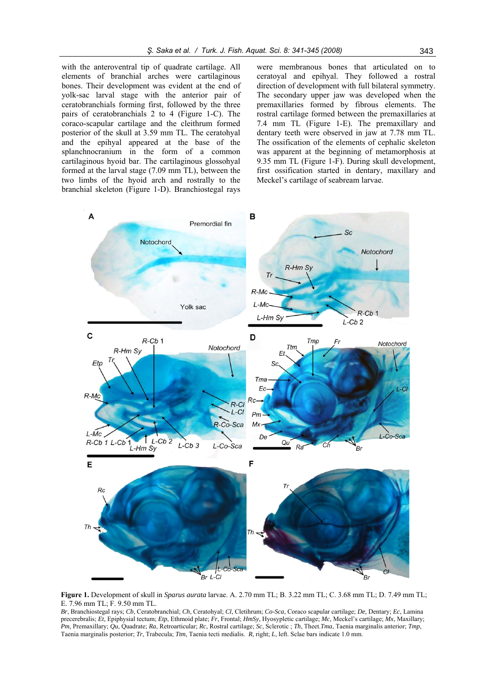with the anteroventral tip of quadrate cartilage. All elements of branchial arches were cartilaginous bones. Their development was evident at the end of yolk-sac larval stage with the anterior pair of ceratobranchials forming first, followed by the three pairs of ceratobranchials 2 to 4 (Figure 1-C). The coraco-scapular cartilage and the cleithrum formed posterior of the skull at 3.59 mm TL. The ceratohyal and the epihyal appeared at the base of the splanchnocranium in the form of a common cartilaginous hyoid bar. The cartilaginous glossohyal formed at the larval stage (7.09 mm TL), between the two limbs of the hyoid arch and rostrally to the branchial skeleton (Figure 1-D). Branchiostegal rays

were membranous bones that articulated on to ceratoyal and epihyal. They followed a rostral direction of development with full bilateral symmetry. The secondary upper jaw was developed when the premaxillaries formed by fibrous elements. The rostral cartilage formed between the premaxillaries at 7.4 mm TL (Figure 1-E). The premaxillary and dentary teeth were observed in jaw at 7.78 mm TL. The ossification of the elements of cephalic skeleton was apparent at the beginning of metamorphosis at 9.35 mm TL (Figure 1-F). During skull development, first ossification started in dentary, maxillary and Meckel's cartilage of seabream larvae.



**Figure 1.** Development of skull in *Sparus aurata* larvae. A. 2.70 mm TL; B. 3.22 mm TL; C. 3.68 mm TL; D. 7.49 mm TL; E. 7.96 mm TL; F. 9.50 mm TL.

*Br*, Branchiostegal rays; *Cb*, Ceratobranchial; *Ch*, Ceratohyal; *Cl*, Cletihrum; *Co-Sca*, Coraco scapular cartilage; *De*, Dentary; *Ec*, Lamina precerebralis; *Et*, Epiphysial tectum; *Etp*, Ethmoid plate; *Fr*, Frontal; *HmSy*, Hyosypletic cartilage; *Mc*, Meckel's cartilage; *Mx*, Maxillary; *Pm*, Premaxillary; *Qu*, Quadrate; *Ra*, Retroarticular; *Rc*, Rostral cartilage; *Sc*, Sclerotic ; *Th*, Theet.*Tma*, Taenia marginalis anterior; *Tmp*, Taenia marginalis posterior; *Tr*, Trabecula; *Ttm*, Taenia tecti medialis. *R*, right; *L*, left. Sclae bars indicate 1.0 mm.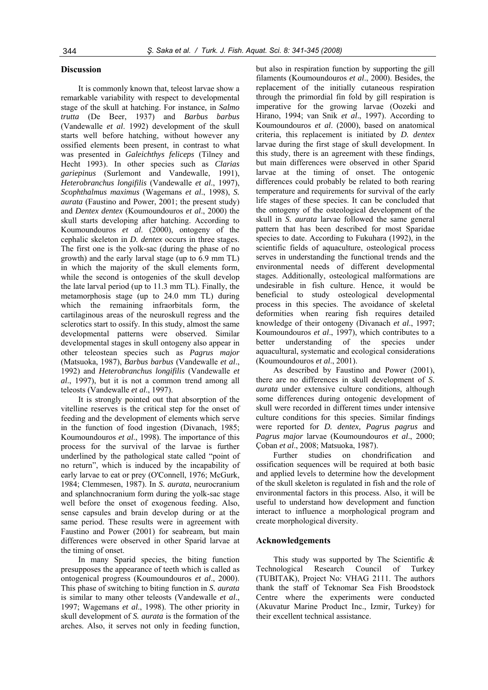# **Discussion**

It is commonly known that, teleost larvae show a remarkable variability with respect to developmental stage of the skull at hatching. For instance, in *Salmo trutta* (De Beer, 1937) and *Barbus barbus* (Vandewalle *et al*. 1992) development of the skull starts well before hatching, without however any ossified elements been present, in contrast to what was presented in *Galeichthys feliceps* (Tilney and Hecht 1993). In other species such as *Clarias gariepinus* (Surlemont and Vandewalle, 1991), *Heterobranchus longifilis* (Vandewalle *et al*., 1997), *Scophthalmus maximus* (Wagemans *et al*., 1998), *S. aurata* (Faustino and Power, 2001; the present study) and *Dentex dentex* (Koumoundouros *et al*., 2000) the skull starts developing after hatching. According to Koumoundouros *et al*. (2000), ontogeny of the cephalic skeleton in *D. dentex* occurs in three stages. The first one is the yolk-sac (during the phase of no growth) and the early larval stage (up to 6.9 mm TL) in which the majority of the skull elements form, while the second is ontogenies of the skull develop the late larval period (up to 11.3 mm TL). Finally, the metamorphosis stage (up to 24.0 mm TL) during which the remaining infraorbitals form, the cartilaginous areas of the neuroskull regress and the sclerotics start to ossify. In this study, almost the same developmental patterns were observed. Similar developmental stages in skull ontogeny also appear in other teleostean species such as *Pagrus major* (Matsuoka, 1987), *Barbus barbus* (Vandewalle *et al*., 1992) and *Heterobranchus longifilis* (Vandewalle *et al*., 1997), but it is not a common trend among all teleosts (Vandewalle *et al*., 1997).

It is strongly pointed out that absorption of the vitelline reserves is the critical step for the onset of feeding and the development of elements which serve in the function of food ingestion (Divanach, 1985; Koumoundouros *et al*., 1998). The importance of this process for the survival of the larvae is further underlined by the pathological state called "point of no return", which is induced by the incapability of early larvae to eat or prey (O'Connell, 1976; McGurk, 1984; Clemmesen, 1987). In *S. aurata*, neurocranium and splanchnocranium form during the yolk-sac stage well before the onset of exogenous feeding. Also, sense capsules and brain develop during or at the same period. These results were in agreement with Faustino and Power (2001) for seabream, but main differences were observed in other Sparid larvae at the timing of onset.

In many Sparid species, the biting function presupposes the appearance of teeth which is called as ontogenical progress (Koumoundouros *et al*., 2000). This phase of switching to biting function in *S. aurata* is similar to many other teleosts (Vandewalle *et al*., 1997; Wagemans *et al*., 1998). The other priority in skull development of *S. aurata* is the formation of the arches. Also, it serves not only in feeding function,

but also in respiration function by supporting the gill filaments (Koumoundouros *et al*., 2000). Besides, the replacement of the initially cutaneous respiration through the primordial fin fold by gill respiration is imperative for the growing larvae (Oozeki and Hirano, 1994; van Snik *et al*., 1997). According to Koumoundouros *et al*. (2000), based on anatomical criteria, this replacement is initiated by *D. dentex* larvae during the first stage of skull development. In this study, there is an agreement with these findings, but main differences were observed in other Sparid larvae at the timing of onset. The ontogenic differences could probably be related to both rearing temperature and requirements for survival of the early life stages of these species. It can be concluded that the ontogeny of the osteological development of the skull in *S. aurata* larvae followed the same general pattern that has been described for most Sparidae species to date. According to Fukuhara (1992), in the scientific fields of aquaculture, osteological process serves in understanding the functional trends and the environmental needs of different developmental stages. Additionally, osteological malformations are undesirable in fish culture. Hence, it would be beneficial to study osteological developmental process in this species. The avoidance of skeletal deformities when rearing fish requires detailed knowledge of their ontogeny (Divanach *et al*., 1997; Koumoundouros *et al*., 1997), which contributes to a better understanding of the species under aquacultural, systematic and ecological considerations (Koumoundouros *et al*., 2001).

As described by Faustino and Power (2001), there are no differences in skull development of *S. aurata* under extensive culture conditions, although some differences during ontogenic development of skull were recorded in different times under intensive culture conditions for this species. Similar findings were reported for *D. dentex, Pagrus pagrus* and *Pagrus major* larvae (Koumoundouros *et al*., 2000; Çoban *et al*., 2008; Matsuoka, 1987).

Further studies on chondrification and ossification sequences will be required at both basic and applied levels to determine how the development of the skull skeleton is regulated in fish and the role of environmental factors in this process. Also, it will be useful to understand how development and function interact to influence a morphological program and create morphological diversity.

#### **Acknowledgements**

This study was supported by The Scientific  $\&$ Technological Research Council of Turkey (TUBITAK), Project No: VHAG 2111. The authors thank the staff of Teknomar Sea Fish Broodstock Centre where the experiments were conducted (Akuvatur Marine Product Inc., Izmir, Turkey) for their excellent technical assistance.